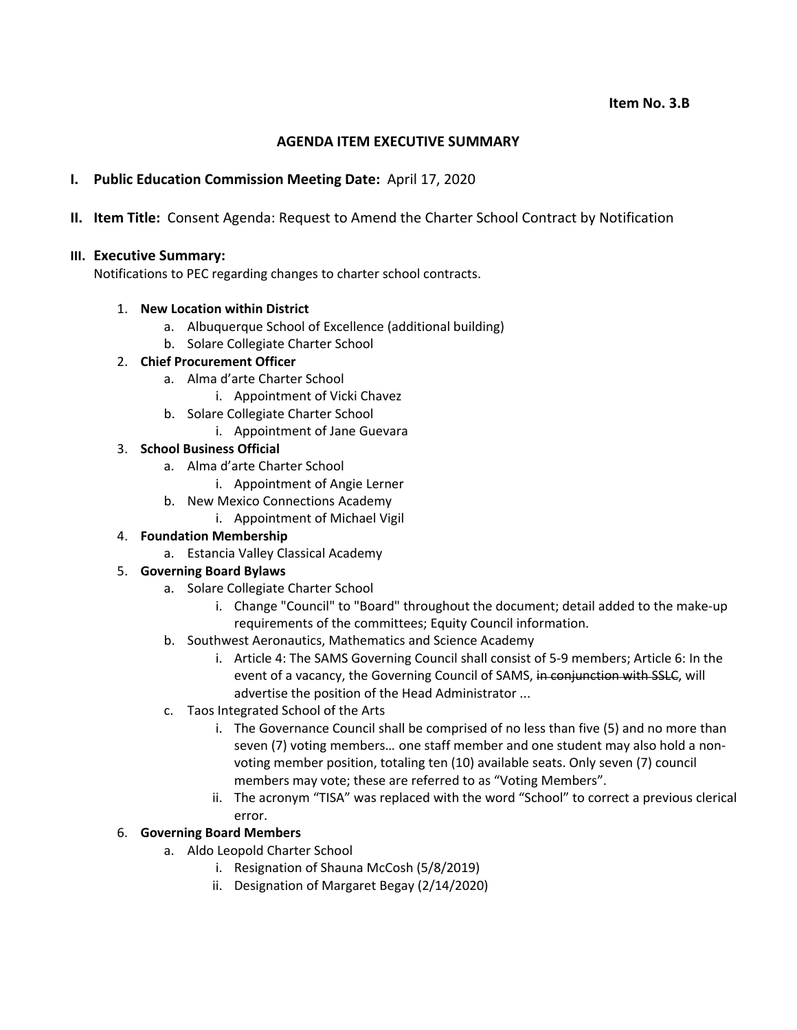## **AGENDA ITEM EXECUTIVE SUMMARY**

# **I. Public Education Commission Meeting Date:** April 17, 2020

**II. Item Title:** Consent Agenda: Request to Amend the Charter School Contract by Notification

### **III. Executive Summary:**

Notifications to PEC regarding changes to charter school contracts.

#### 1. **New Location within District**

- a. Albuquerque School of Excellence (additional building)
- b. Solare Collegiate Charter School

#### 2. **Chief Procurement Officer**

- a. Alma d'arte Charter School
	- i. Appointment of Vicki Chavez
- b. Solare Collegiate Charter School
	- i. Appointment of Jane Guevara

#### 3. **School Business Official**

- a. Alma d'arte Charter School
	- i. Appointment of Angie Lerner
- b. New Mexico Connections Academy
	- i. Appointment of Michael Vigil

## 4. **Foundation Membership**

a. Estancia Valley Classical Academy

## 5. **Governing Board Bylaws**

- a. Solare Collegiate Charter School
	- i. Change "Council" to "Board" throughout the document; detail added to the make‐up requirements of the committees; Equity Council information.
- b. Southwest Aeronautics, Mathematics and Science Academy
	- i. Article 4: The SAMS Governing Council shall consist of 5‐9 members; Article 6: In the event of a vacancy, the Governing Council of SAMS, in conjunction with SSLC, will advertise the position of the Head Administrator ...
- c. Taos Integrated School of the Arts
	- i. The Governance Council shall be comprised of no less than five (5) and no more than seven (7) voting members… one staff member and one student may also hold a non‐ voting member position, totaling ten (10) available seats. Only seven (7) council members may vote; these are referred to as "Voting Members".
	- ii. The acronym "TISA" was replaced with the word "School" to correct a previous clerical error.
- 6. **Governing Board Members**
	- a. Aldo Leopold Charter School
		- i. Resignation of Shauna McCosh (5/8/2019)
		- ii. Designation of Margaret Begay (2/14/2020)